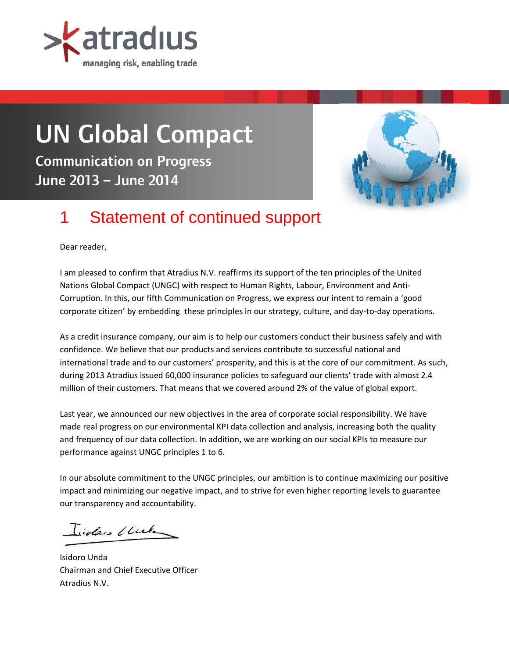

# UN Global Compact

Communication on Progress June 2013 – June 2014



# 1 Statement of continued support

Dear reader,

I am pleased to confirm that Atradius N.V. reaffirms its support of the ten principles of the United Nations Global Compact (UNGC) with respect to Human Rights, Labour, Environment and Anti-Corruption. In this, our fifth Communication on Progress, we express our intent to remain a 'good corporate citizen' by embedding these principles in our strategy, culture, and day-to-day operations.

As a credit insurance company, our aim is to help our customers conduct their business safely and with confidence. We believe that our products and services contribute to successful national and international trade and to our customers' prosperity, and this is at the core of our commitment. As such, during 2013 Atradius issued 60,000 insurance policies to safeguard our clients' trade with almost 2.4 million of their customers. That means that we covered around 2% of the value of global export.

Last year, we announced our new objectives in the area of corporate social responsibility. We have made real progress on our environmental KPI data collection and analysis, increasing both the quality and frequency of our data collection. In addition, we are working on our social KPIs to measure our performance against UNGC principles 1 to 6.

In our absolute commitment to the UNGC principles, our ambition is to continue maximizing our positive impact and minimizing our negative impact, and to strive for even higher reporting levels to guarantee our transparency and accountability.

Isiders (liek

Isidoro Unda Chairman and Chief Executive Officer Atradius N.V.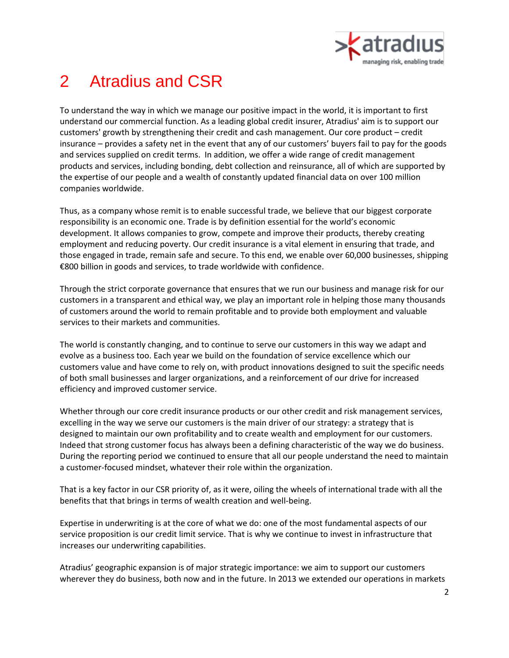

# 2 Atradius and CSR

To understand the way in which we manage our positive impact in the world, it is important to first understand our commercial function. As a leading global credit insurer, Atradius' aim is to support our customers' growth by strengthening their credit and cash management. Our core product – credit insurance – provides a safety net in the event that any of our customers' buyers fail to pay for the goods and services supplied on credit terms. In addition, we offer a wide range of credit management products and services, including bonding, debt collection and reinsurance, all of which are supported by the expertise of our people and a wealth of constantly updated financial data on over 100 million companies worldwide.

Thus, as a company whose remit is to enable successful trade, we believe that our biggest corporate responsibility is an economic one. Trade is by definition essential for the world's economic development. It allows companies to grow, compete and improve their products, thereby creating employment and reducing poverty. Our credit insurance is a vital element in ensuring that trade, and those engaged in trade, remain safe and secure. To this end, we enable over 60,000 businesses, shipping €800 billion in goods and services, to trade worldwide with confidence.

Through the strict corporate governance that ensures that we run our business and manage risk for our customers in a transparent and ethical way, we play an important role in helping those many thousands of customers around the world to remain profitable and to provide both employment and valuable services to their markets and communities.

The world is constantly changing, and to continue to serve our customers in this way we adapt and evolve as a business too. Each year we build on the foundation of service excellence which our customers value and have come to rely on, with product innovations designed to suit the specific needs of both small businesses and larger organizations, and a reinforcement of our drive for increased efficiency and improved customer service.

Whether through our core credit insurance products or our other credit and risk management services, excelling in the way we serve our customers is the main driver of our strategy: a strategy that is designed to maintain our own profitability and to create wealth and employment for our customers. Indeed that strong customer focus has always been a defining characteristic of the way we do business. During the reporting period we continued to ensure that all our people understand the need to maintain a customer-focused mindset, whatever their role within the organization.

That is a key factor in our CSR priority of, as it were, oiling the wheels of international trade with all the benefits that that brings in terms of wealth creation and well-being.

Expertise in underwriting is at the core of what we do: one of the most fundamental aspects of our service proposition is our credit limit service. That is why we continue to invest in infrastructure that increases our underwriting capabilities.

Atradius' geographic expansion is of major strategic importance: we aim to support our customers wherever they do business, both now and in the future. In 2013 we extended our operations in markets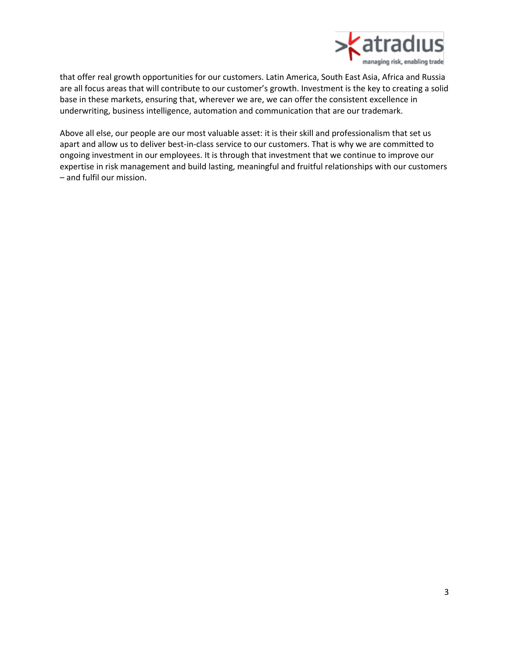

that offer real growth opportunities for our customers. Latin America, South East Asia, Africa and Russia are all focus areas that will contribute to our customer's growth. Investment is the key to creating a solid base in these markets, ensuring that, wherever we are, we can offer the consistent excellence in underwriting, business intelligence, automation and communication that are our trademark.

Above all else, our people are our most valuable asset: it is their skill and professionalism that set us apart and allow us to deliver best-in-class service to our customers. That is why we are committed to ongoing investment in our employees. It is through that investment that we continue to improve our expertise in risk management and build lasting, meaningful and fruitful relationships with our customers – and fulfil our mission.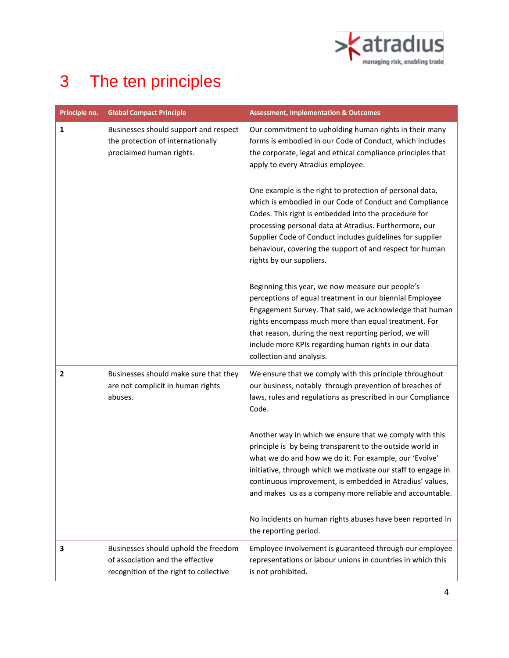

# 3 The ten principles

| Principle no.  | <b>Global Compact Principle</b>                                                                                    | <b>Assessment, Implementation &amp; Outcomes</b>                                                                                                                                                                                                                                                                                                                                           |
|----------------|--------------------------------------------------------------------------------------------------------------------|--------------------------------------------------------------------------------------------------------------------------------------------------------------------------------------------------------------------------------------------------------------------------------------------------------------------------------------------------------------------------------------------|
| $\mathbf{1}$   | Businesses should support and respect<br>the protection of internationally<br>proclaimed human rights.             | Our commitment to upholding human rights in their many<br>forms is embodied in our Code of Conduct, which includes<br>the corporate, legal and ethical compliance principles that<br>apply to every Atradius employee.                                                                                                                                                                     |
|                |                                                                                                                    | One example is the right to protection of personal data,<br>which is embodied in our Code of Conduct and Compliance<br>Codes. This right is embedded into the procedure for<br>processing personal data at Atradius. Furthermore, our<br>Supplier Code of Conduct includes guidelines for supplier<br>behaviour, covering the support of and respect for human<br>rights by our suppliers. |
|                |                                                                                                                    | Beginning this year, we now measure our people's<br>perceptions of equal treatment in our biennial Employee<br>Engagement Survey. That said, we acknowledge that human<br>rights encompass much more than equal treatment. For<br>that reason, during the next reporting period, we will<br>include more KPIs regarding human rights in our data<br>collection and analysis.               |
| $\overline{2}$ | Businesses should make sure that they<br>are not complicit in human rights<br>abuses.                              | We ensure that we comply with this principle throughout<br>our business, notably through prevention of breaches of<br>laws, rules and regulations as prescribed in our Compliance<br>Code.                                                                                                                                                                                                 |
|                |                                                                                                                    | Another way in which we ensure that we comply with this<br>principle is by being transparent to the outside world in<br>what we do and how we do it. For example, our 'Evolve'<br>initiative, through which we motivate our staff to engage in<br>continuous improvement, is embedded in Atradius' values,<br>and makes us as a company more reliable and accountable.                     |
|                |                                                                                                                    | No incidents on human rights abuses have been reported in<br>the reporting period.                                                                                                                                                                                                                                                                                                         |
| 3              | Businesses should uphold the freedom<br>of association and the effective<br>recognition of the right to collective | Employee involvement is guaranteed through our employee<br>representations or labour unions in countries in which this<br>is not prohibited.                                                                                                                                                                                                                                               |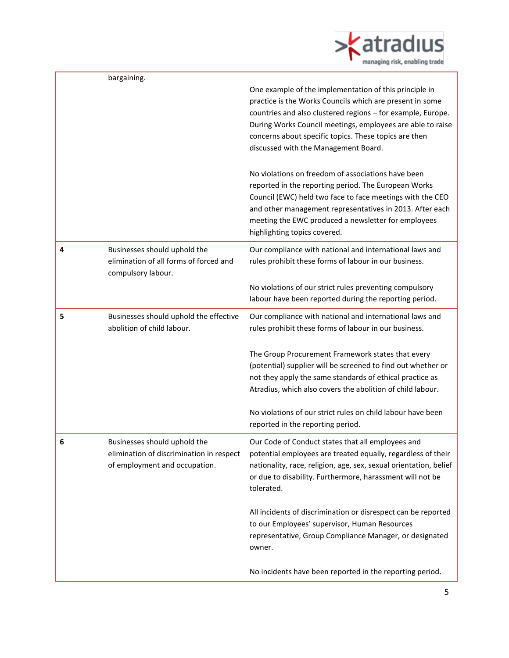

|   | bargaining.                                                                                               |                                                                                                                                                                                                                                                                                                                                                  |
|---|-----------------------------------------------------------------------------------------------------------|--------------------------------------------------------------------------------------------------------------------------------------------------------------------------------------------------------------------------------------------------------------------------------------------------------------------------------------------------|
|   |                                                                                                           | One example of the implementation of this principle in<br>practice is the Works Councils which are present in some<br>countries and also clustered regions - for example, Europe.<br>During Works Council meetings, employees are able to raise<br>concerns about specific topics. These topics are then<br>discussed with the Management Board. |
|   |                                                                                                           | No violations on freedom of associations have been<br>reported in the reporting period. The European Works<br>Council (EWC) held two face to face meetings with the CEO<br>and other management representatives in 2013. After each<br>meeting the EWC produced a newsletter for employees<br>highlighting topics covered.                       |
| 4 | Businesses should uphold the<br>elimination of all forms of forced and<br>compulsory labour.              | Our compliance with national and international laws and<br>rules prohibit these forms of labour in our business.                                                                                                                                                                                                                                 |
|   |                                                                                                           | No violations of our strict rules preventing compulsory<br>labour have been reported during the reporting period.                                                                                                                                                                                                                                |
| 5 | Businesses should uphold the effective<br>abolition of child labour.                                      | Our compliance with national and international laws and<br>rules prohibit these forms of labour in our business.                                                                                                                                                                                                                                 |
|   |                                                                                                           | The Group Procurement Framework states that every<br>(potential) supplier will be screened to find out whether or<br>not they apply the same standards of ethical practice as<br>Atradius, which also covers the abolition of child labour.                                                                                                      |
|   |                                                                                                           | No violations of our strict rules on child labour have been<br>reported in the reporting period.                                                                                                                                                                                                                                                 |
| 6 | Businesses should uphold the<br>elimination of discrimination in respect<br>of employment and occupation. | Our Code of Conduct states that all employees and<br>potential employees are treated equally, regardless of their<br>nationality, race, religion, age, sex, sexual orientation, belief<br>or due to disability. Furthermore, harassment will not be<br>tolerated.                                                                                |
|   |                                                                                                           | All incidents of discrimination or disrespect can be reported<br>to our Employees' supervisor, Human Resources<br>representative, Group Compliance Manager, or designated<br>owner.                                                                                                                                                              |
|   |                                                                                                           | No incidents have been reported in the reporting period.                                                                                                                                                                                                                                                                                         |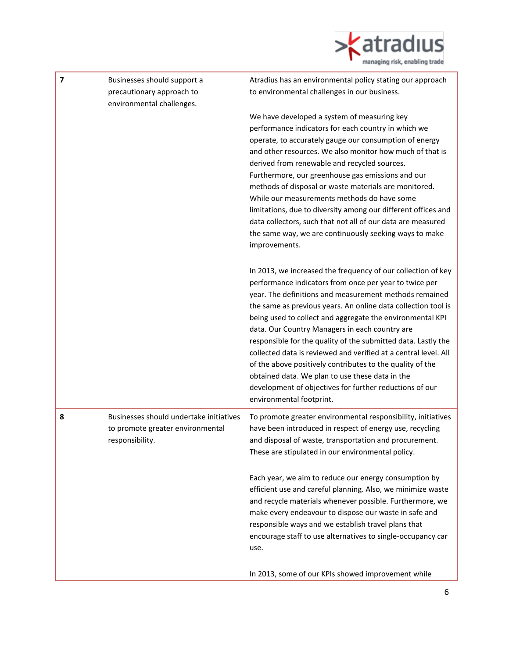

| $\overline{\mathbf{z}}$ | Businesses should support a<br>precautionary approach to<br>environmental challenges.          | Atradius has an environmental policy stating our approach<br>to environmental challenges in our business.                                                                                                                                                                                                                                                                                                                                                                                                                                                                                                                                                                                                   |
|-------------------------|------------------------------------------------------------------------------------------------|-------------------------------------------------------------------------------------------------------------------------------------------------------------------------------------------------------------------------------------------------------------------------------------------------------------------------------------------------------------------------------------------------------------------------------------------------------------------------------------------------------------------------------------------------------------------------------------------------------------------------------------------------------------------------------------------------------------|
|                         |                                                                                                | We have developed a system of measuring key<br>performance indicators for each country in which we<br>operate, to accurately gauge our consumption of energy<br>and other resources. We also monitor how much of that is<br>derived from renewable and recycled sources.<br>Furthermore, our greenhouse gas emissions and our<br>methods of disposal or waste materials are monitored.<br>While our measurements methods do have some<br>limitations, due to diversity among our different offices and<br>data collectors, such that not all of our data are measured<br>the same way, we are continuously seeking ways to make<br>improvements.                                                            |
|                         |                                                                                                | In 2013, we increased the frequency of our collection of key<br>performance indicators from once per year to twice per<br>year. The definitions and measurement methods remained<br>the same as previous years. An online data collection tool is<br>being used to collect and aggregate the environmental KPI<br>data. Our Country Managers in each country are<br>responsible for the quality of the submitted data. Lastly the<br>collected data is reviewed and verified at a central level. All<br>of the above positively contributes to the quality of the<br>obtained data. We plan to use these data in the<br>development of objectives for further reductions of our<br>environmental footprint. |
| 8                       | Businesses should undertake initiatives<br>to promote greater environmental<br>responsibility. | To promote greater environmental responsibility, initiatives<br>have been introduced in respect of energy use, recycling<br>and disposal of waste, transportation and procurement.<br>These are stipulated in our environmental policy.                                                                                                                                                                                                                                                                                                                                                                                                                                                                     |
|                         |                                                                                                | Each year, we aim to reduce our energy consumption by<br>efficient use and careful planning. Also, we minimize waste<br>and recycle materials whenever possible. Furthermore, we<br>make every endeavour to dispose our waste in safe and<br>responsible ways and we establish travel plans that<br>encourage staff to use alternatives to single-occupancy car<br>use.                                                                                                                                                                                                                                                                                                                                     |
|                         |                                                                                                | In 2013, some of our KPIs showed improvement while                                                                                                                                                                                                                                                                                                                                                                                                                                                                                                                                                                                                                                                          |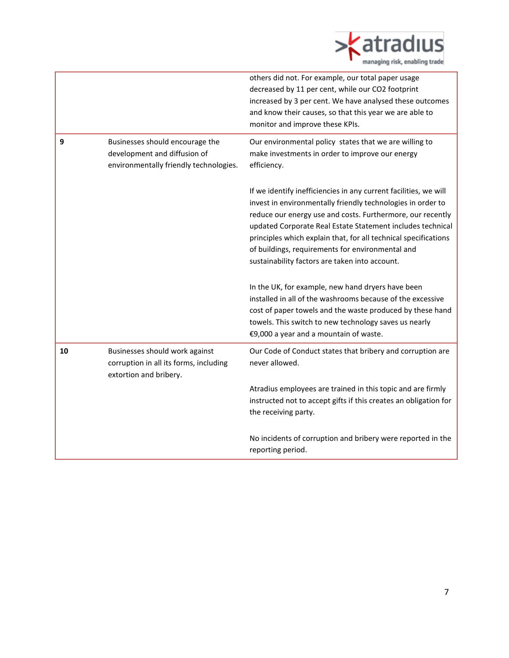

|    |                                                                                                           | others did not. For example, our total paper usage<br>decreased by 11 per cent, while our CO2 footprint<br>increased by 3 per cent. We have analysed these outcomes<br>and know their causes, so that this year we are able to<br>monitor and improve these KPIs.                                                                                                                                                                    |
|----|-----------------------------------------------------------------------------------------------------------|--------------------------------------------------------------------------------------------------------------------------------------------------------------------------------------------------------------------------------------------------------------------------------------------------------------------------------------------------------------------------------------------------------------------------------------|
| 9  | Businesses should encourage the<br>development and diffusion of<br>environmentally friendly technologies. | Our environmental policy states that we are willing to<br>make investments in order to improve our energy<br>efficiency.                                                                                                                                                                                                                                                                                                             |
|    |                                                                                                           | If we identify inefficiencies in any current facilities, we will<br>invest in environmentally friendly technologies in order to<br>reduce our energy use and costs. Furthermore, our recently<br>updated Corporate Real Estate Statement includes technical<br>principles which explain that, for all technical specifications<br>of buildings, requirements for environmental and<br>sustainability factors are taken into account. |
|    |                                                                                                           | In the UK, for example, new hand dryers have been<br>installed in all of the washrooms because of the excessive<br>cost of paper towels and the waste produced by these hand<br>towels. This switch to new technology saves us nearly<br>€9,000 a year and a mountain of waste.                                                                                                                                                      |
| 10 | Businesses should work against<br>corruption in all its forms, including<br>extortion and bribery.        | Our Code of Conduct states that bribery and corruption are<br>never allowed.                                                                                                                                                                                                                                                                                                                                                         |
|    |                                                                                                           | Atradius employees are trained in this topic and are firmly<br>instructed not to accept gifts if this creates an obligation for<br>the receiving party.                                                                                                                                                                                                                                                                              |
|    |                                                                                                           | No incidents of corruption and bribery were reported in the<br>reporting period.                                                                                                                                                                                                                                                                                                                                                     |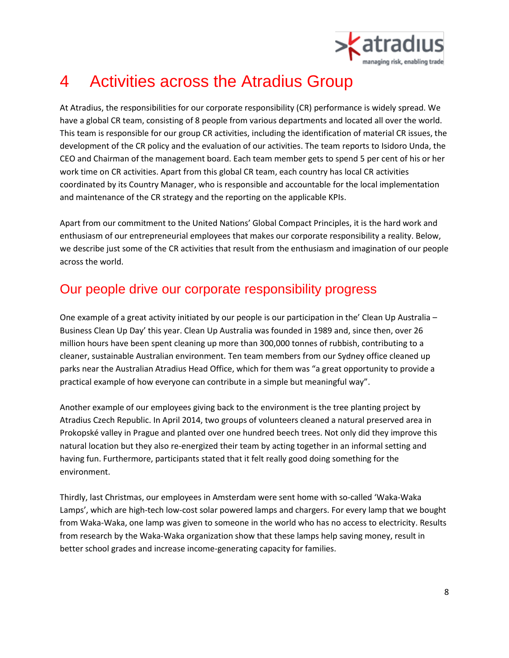

# 4 Activities across the Atradius Group

At Atradius, the responsibilities for our corporate responsibility (CR) performance is widely spread. We have a global CR team, consisting of 8 people from various departments and located all over the world. This team is responsible for our group CR activities, including the identification of material CR issues, the development of the CR policy and the evaluation of our activities. The team reports to Isidoro Unda, the CEO and Chairman of the management board. Each team member gets to spend 5 per cent of his or her work time on CR activities. Apart from this global CR team, each country has local CR activities coordinated by its Country Manager, who is responsible and accountable for the local implementation and maintenance of the CR strategy and the reporting on the applicable KPIs.

Apart from our commitment to the United Nations' Global Compact Principles, it is the hard work and enthusiasm of our entrepreneurial employees that makes our corporate responsibility a reality. Below, we describe just some of the CR activities that result from the enthusiasm and imagination of our people across the world.

### Our people drive our corporate responsibility progress

One example of a great activity initiated by our people is our participation in the' Clean Up Australia – Business Clean Up Day' this year. Clean Up Australia was founded in 1989 and, since then, over 26 million hours have been spent cleaning up more than 300,000 tonnes of rubbish, contributing to a cleaner, sustainable Australian environment. Ten team members from our Sydney office cleaned up parks near the Australian Atradius Head Office, which for them was "a great opportunity to provide a practical example of how everyone can contribute in a simple but meaningful way".

Another example of our employees giving back to the environment is the tree planting project by Atradius Czech Republic. In April 2014, two groups of volunteers cleaned a natural preserved area in Prokopské valley in Prague and planted over one hundred beech trees. Not only did they improve this natural location but they also re-energized their team by acting together in an informal setting and having fun. Furthermore, participants stated that it felt really good doing something for the environment.

Thirdly, last Christmas, our employees in Amsterdam were sent home with so-called 'Waka-Waka Lamps', which are high-tech low-cost solar powered lamps and chargers. For every lamp that we bought from Waka-Waka, one lamp was given to someone in the world who has no access to electricity. Results from research by the Waka-Waka organization show that these lamps help saving money, result in better school grades and increase income-generating capacity for families.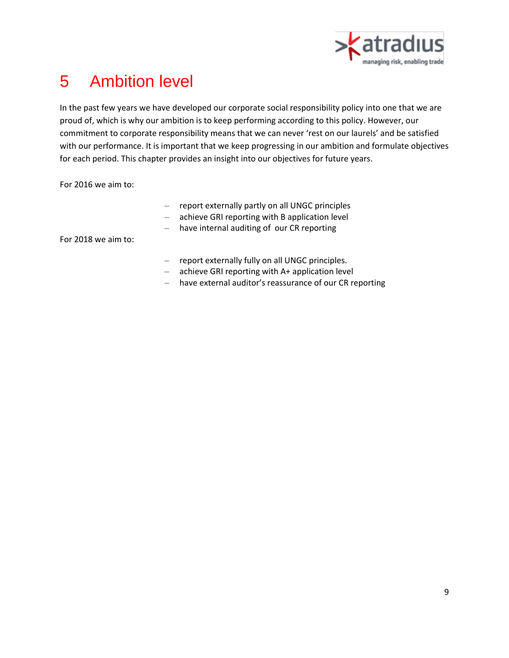

# 5 Ambition level

In the past few years we have developed our corporate social responsibility policy into one that we are proud of, which is why our ambition is to keep performing according to this policy. However, our commitment to corporate responsibility means that we can never 'rest on our laurels' and be satisfied with our performance. It is important that we keep progressing in our ambition and formulate objectives for each period. This chapter provides an insight into our objectives for future years.

For 2016 we aim to:

- report externally partly on all UNGC principles
- achieve GRI reporting with B application level
- have internal auditing of our CR reporting

For 2018 we aim to:

- report externally fully on all UNGC principles.
- achieve GRI reporting with A+ application level
- have external auditor's reassurance of our CR reporting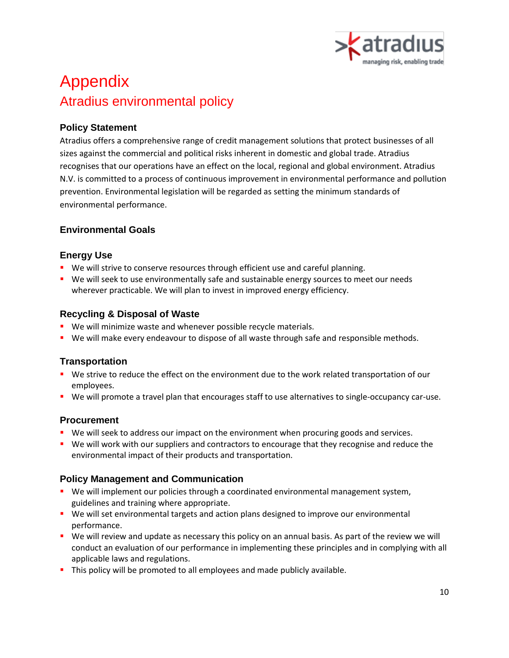

# Appendix Atradius environmental policy

#### **Policy Statement**

Atradius offers a comprehensive range of credit management solutions that protect businesses of all sizes against the commercial and political risks inherent in domestic and global trade. Atradius recognises that our operations have an effect on the local, regional and global environment. Atradius N.V. is committed to a process of continuous improvement in environmental performance and pollution prevention. Environmental legislation will be regarded as setting the minimum standards of environmental performance.

#### **Environmental Goals**

#### **Energy Use**

- **We will strive to conserve resources through efficient use and careful planning.**
- **We will seek to use environmentally safe and sustainable energy sources to meet our needs** wherever practicable. We will plan to invest in improved energy efficiency.

#### **Recycling & Disposal of Waste**

- **We will minimize waste and whenever possible recycle materials.**
- **We will make every endeavour to dispose of all waste through safe and responsible methods.**

#### **Transportation**

- We strive to reduce the effect on the environment due to the work related transportation of our employees.
- We will promote a travel plan that encourages staff to use alternatives to single-occupancy car-use.

#### **Procurement**

- **We will seek to address our impact on the environment when procuring goods and services.**
- We will work with our suppliers and contractors to encourage that they recognise and reduce the environmental impact of their products and transportation.

#### **Policy Management and Communication**

- **We will implement our policies through a coordinated environmental management system,** guidelines and training where appropriate.
- **We will set environmental targets and action plans designed to improve our environmental** performance.
- We will review and update as necessary this policy on an annual basis. As part of the review we will conduct an evaluation of our performance in implementing these principles and in complying with all applicable laws and regulations.
- This policy will be promoted to all employees and made publicly available.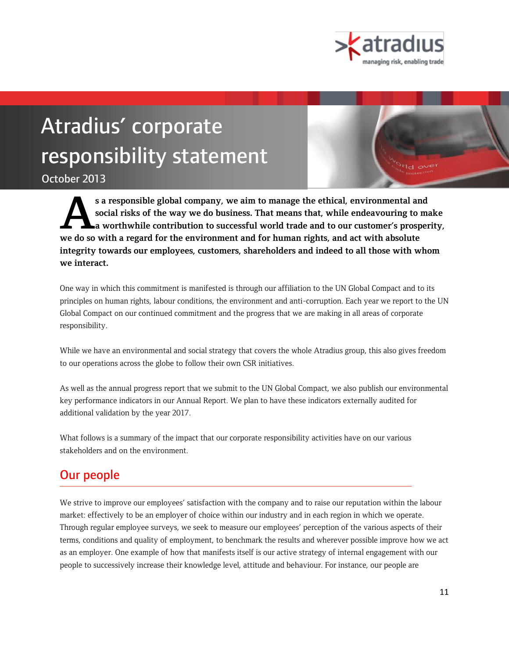

# Atradius' corporate responsibility statement

October 2013

**s a responsible global company, we aim to manage the ethical, environmental and social risks of the way we do business. That means that, while endeavouring to make a worthwhile contribution to successful world trade and to our customer's prosperity, we do so with a regard for the environment and for human rights, and act with absolute integrity towards our employees, customers, shareholders and indeed to all those with whom we interact. A**

One way in which this commitment is manifested is through our affiliation to the UN Global Compact and to its principles on human rights, labour conditions, the environment and anti-corruption. Each year we report to the UN Global Compact on our continued commitment and the progress that we are making in all areas of corporate responsibility.

While we have an environmental and social strategy that covers the whole Atradius group, this also gives freedom to our operations across the globe to follow their own CSR initiatives.

As well as the annual progress report that we submit to the UN Global Compact, we also publish our environmental key performance indicators in our Annual Report. We plan to have these indicators externally audited for additional validation by the year 2017.

What follows is a summary of the impact that our corporate responsibility activities have on our various stakeholders and on the environment.

### Our people

We strive to improve our employees' satisfaction with the company and to raise our reputation within the labour market: effectively to be an employer of choice within our industry and in each region in which we operate. Through regular employee surveys, we seek to measure our employees' perception of the various aspects of their terms, conditions and quality of employment, to benchmark the results and wherever possible improve how we act as an employer. One example of how that manifests itself is our active strategy of internal engagement with our people to successively increase their knowledge level, attitude and behaviour. For instance, our people are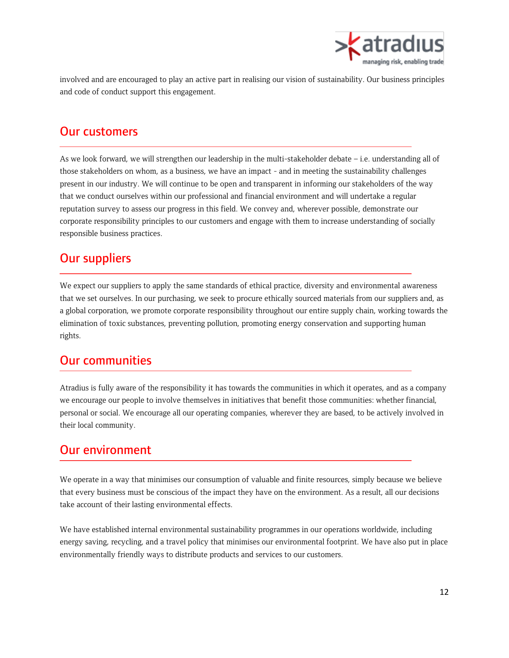

involved and are encouraged to play an active part in realising our vision of sustainability. Our business principles and code of conduct support this engagement.

### Our customers

As we look forward, we will strengthen our leadership in the multi-stakeholder debate – i.e. understanding all of those stakeholders on whom, as a business, we have an impact - and in meeting the sustainability challenges present in our industry. We will continue to be open and transparent in informing our stakeholders of the way that we conduct ourselves within our professional and financial environment and will undertake a regular reputation survey to assess our progress in this field. We convey and, wherever possible, demonstrate our corporate responsibility principles to our customers and engage with them to increase understanding of socially responsible business practices.

### Our suppliers

We expect our suppliers to apply the same standards of ethical practice, diversity and environmental awareness that we set ourselves. In our purchasing, we seek to procure ethically sourced materials from our suppliers and, as a global corporation, we promote corporate responsibility throughout our entire supply chain, working towards the elimination of toxic substances, preventing pollution, promoting energy conservation and supporting human rights.

### Our communities

Atradius is fully aware of the responsibility it has towards the communities in which it operates, and as a company we encourage our people to involve themselves in initiatives that benefit those communities: whether financial, personal or social. We encourage all our operating companies, wherever they are based, to be actively involved in their local community.

### Our environment

We operate in a way that minimises our consumption of valuable and finite resources, simply because we believe that every business must be conscious of the impact they have on the environment. As a result, all our decisions take account of their lasting environmental effects.

We have established internal environmental sustainability programmes in our operations worldwide, including energy saving, recycling, and a travel policy that minimises our environmental footprint. We have also put in place environmentally friendly ways to distribute products and services to our customers.